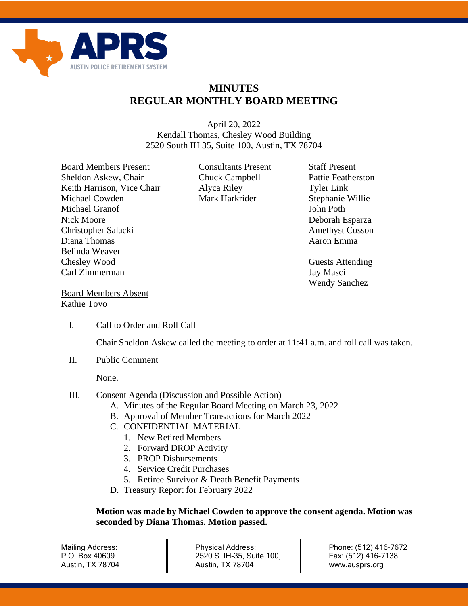

## **MINUTES REGULAR MONTHLY BOARD MEETING**

April 20, 2022 Kendall Thomas, Chesley Wood Building 2520 South IH 35, Suite 100, Austin, TX 78704

Board Members Present Consultants Present Staff Present Sheldon Askew, Chair Chuck Campbell Pattie Featherston Keith Harrison, Vice Chair Alyca Riley Tyler Link Michael Cowden Mark Harkrider Stephanie Willie Michael Granof **John Poth** John Poth Nick Moore Deborah Esparza Christopher Salacki Amethyst Cosson Diana Thomas **Aaron** Emma Belinda Weaver Chesley Wood Guests Attending Carl Zimmerman Jay Masci

Wendy Sanchez

Board Members Absent Kathie Tovo

I. Call to Order and Roll Call

Chair Sheldon Askew called the meeting to order at 11:41 a.m. and roll call was taken.

II. Public Comment

None.

- III. Consent Agenda (Discussion and Possible Action)
	- A. Minutes of the Regular Board Meeting on March 23, 2022
	- B. Approval of Member Transactions for March 2022
	- C. CONFIDENTIAL MATERIAL
		- 1. New Retired Members
		- 2. Forward DROP Activity
		- 3. PROP Disbursements
		- 4. Service Credit Purchases
		- 5. Retiree Survivor & Death Benefit Payments
	- D. Treasury Report for February 2022

## **Motion was made by Michael Cowden to approve the consent agenda. Motion was seconded by Diana Thomas. Motion passed.**

Mailing Address: P.O. Box 40609 Austin, TX 78704 Physical Address: 2520 S. IH-35, Suite 100, Austin, TX 78704

Phone: (512) 416-7672 Fax: (512) 416-7138 www.ausprs.org